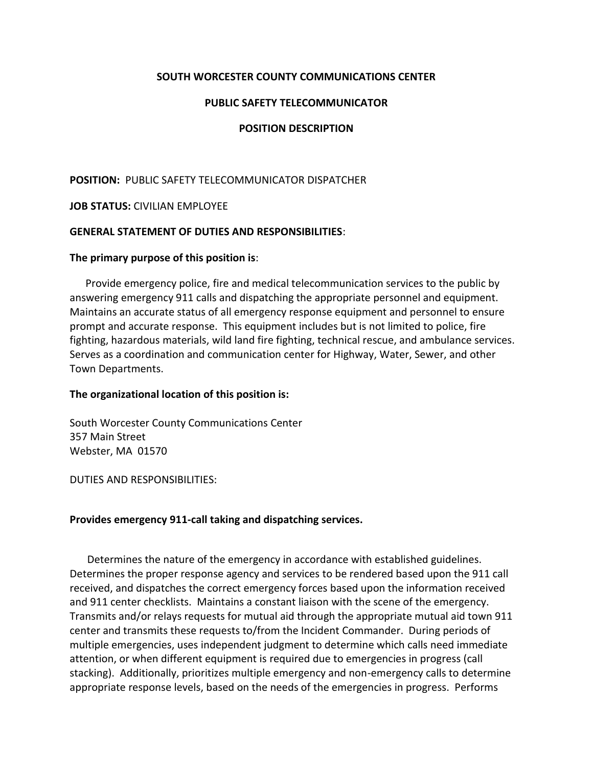### **SOUTH WORCESTER COUNTY COMMUNICATIONS CENTER**

#### **PUBLIC SAFETY TELECOMMUNICATOR**

### **POSITION DESCRIPTION**

#### **POSITION:** PUBLIC SAFETY TELECOMMUNICATOR DISPATCHER

#### **JOB STATUS:** CIVILIAN EMPLOYEE

#### **GENERAL STATEMENT OF DUTIES AND RESPONSIBILITIES**:

#### **The primary purpose of this position is**:

 Provide emergency police, fire and medical telecommunication services to the public by answering emergency 911 calls and dispatching the appropriate personnel and equipment. Maintains an accurate status of all emergency response equipment and personnel to ensure prompt and accurate response. This equipment includes but is not limited to police, fire fighting, hazardous materials, wild land fire fighting, technical rescue, and ambulance services. Serves as a coordination and communication center for Highway, Water, Sewer, and other Town Departments.

#### **The organizational location of this position is:**

South Worcester County Communications Center 357 Main Street Webster, MA 01570

DUTIES AND RESPONSIBILITIES:

#### **Provides emergency 911-call taking and dispatching services.**

Determines the nature of the emergency in accordance with established guidelines. Determines the proper response agency and services to be rendered based upon the 911 call received, and dispatches the correct emergency forces based upon the information received and 911 center checklists. Maintains a constant liaison with the scene of the emergency. Transmits and/or relays requests for mutual aid through the appropriate mutual aid town 911 center and transmits these requests to/from the Incident Commander. During periods of multiple emergencies, uses independent judgment to determine which calls need immediate attention, or when different equipment is required due to emergencies in progress (call stacking). Additionally, prioritizes multiple emergency and non-emergency calls to determine appropriate response levels, based on the needs of the emergencies in progress. Performs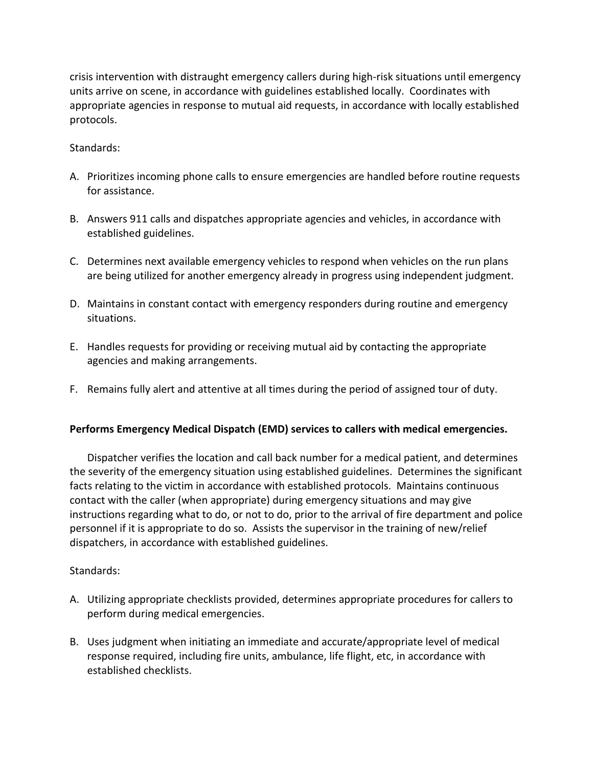crisis intervention with distraught emergency callers during high-risk situations until emergency units arrive on scene, in accordance with guidelines established locally. Coordinates with appropriate agencies in response to mutual aid requests, in accordance with locally established protocols.

## Standards:

- A. Prioritizes incoming phone calls to ensure emergencies are handled before routine requests for assistance.
- B. Answers 911 calls and dispatches appropriate agencies and vehicles, in accordance with established guidelines.
- C. Determines next available emergency vehicles to respond when vehicles on the run plans are being utilized for another emergency already in progress using independent judgment.
- D. Maintains in constant contact with emergency responders during routine and emergency situations.
- E. Handles requests for providing or receiving mutual aid by contacting the appropriate agencies and making arrangements.
- F. Remains fully alert and attentive at all times during the period of assigned tour of duty.

#### **Performs Emergency Medical Dispatch (EMD) services to callers with medical emergencies.**

Dispatcher verifies the location and call back number for a medical patient, and determines the severity of the emergency situation using established guidelines. Determines the significant facts relating to the victim in accordance with established protocols. Maintains continuous contact with the caller (when appropriate) during emergency situations and may give instructions regarding what to do, or not to do, prior to the arrival of fire department and police personnel if it is appropriate to do so. Assists the supervisor in the training of new/relief dispatchers, in accordance with established guidelines.

#### Standards:

- A. Utilizing appropriate checklists provided, determines appropriate procedures for callers to perform during medical emergencies.
- B. Uses judgment when initiating an immediate and accurate/appropriate level of medical response required, including fire units, ambulance, life flight, etc, in accordance with established checklists.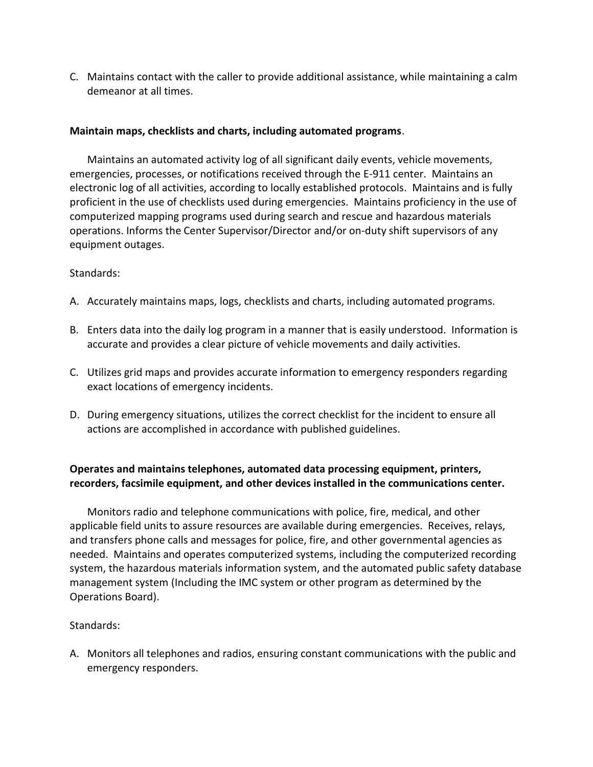C. Maintains contact with the caller to provide additional assistance, while maintaining a calm demeanor at all times.

## **Maintain maps, checklists and charts, including automated programs**.

Maintains an automated activity log of all significant daily events, vehicle movements, emergencies, processes, or notifications received through the E-911 center. Maintains an electronic log of all activities, according to locally established protocols. Maintains and is fully proficient in the use of checklists used during emergencies. Maintains proficiency in the use of computerized mapping programs used during search and rescue and hazardous materials operations. Informs the Center Supervisor/Director and/or on-duty shift supervisors of any equipment outages.

#### Standards:

- A. Accurately maintains maps, logs, checklists and charts, including automated programs.
- B. Enters data into the daily log program in a manner that is easily understood. Information is accurate and provides a clear picture of vehicle movements and daily activities.
- C. Utilizes grid maps and provides accurate information to emergency responders regarding exact locations of emergency incidents.
- D. During emergency situations, utilizes the correct checklist for the incident to ensure all actions are accomplished in accordance with published guidelines.

# **Operates and maintains telephones, automated data processing equipment, printers, recorders, facsimile equipment, and other devices installed in the communications center.**

Monitors radio and telephone communications with police, fire, medical, and other applicable field units to assure resources are available during emergencies. Receives, relays, and transfers phone calls and messages for police, fire, and other governmental agencies as needed. Maintains and operates computerized systems, including the computerized recording system, the hazardous materials information system, and the automated public safety database management system (Including the IMC system or other program as determined by the Operations Board).

# Standards:

A. Monitors all telephones and radios, ensuring constant communications with the public and emergency responders.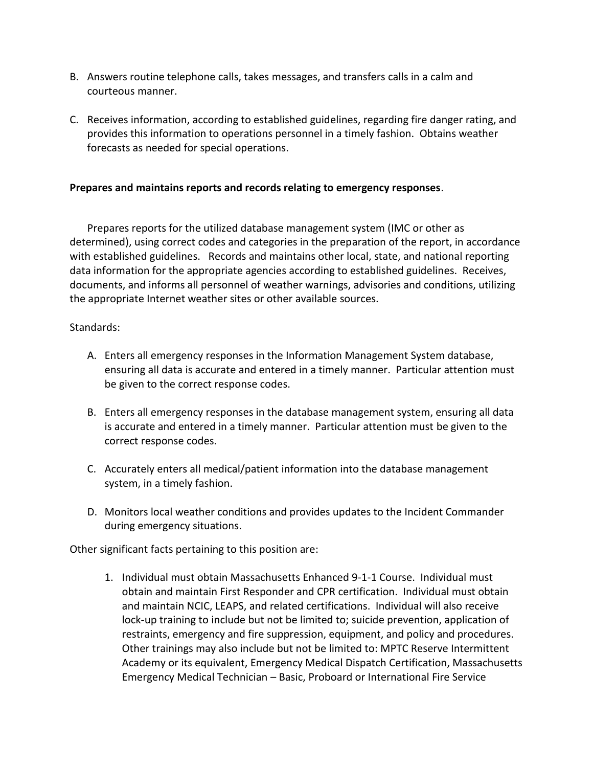- B. Answers routine telephone calls, takes messages, and transfers calls in a calm and courteous manner.
- C. Receives information, according to established guidelines, regarding fire danger rating, and provides this information to operations personnel in a timely fashion. Obtains weather forecasts as needed for special operations.

## **Prepares and maintains reports and records relating to emergency responses**.

Prepares reports for the utilized database management system (IMC or other as determined), using correct codes and categories in the preparation of the report, in accordance with established guidelines. Records and maintains other local, state, and national reporting data information for the appropriate agencies according to established guidelines. Receives, documents, and informs all personnel of weather warnings, advisories and conditions, utilizing the appropriate Internet weather sites or other available sources.

#### Standards:

- A. Enters all emergency responses in the Information Management System database, ensuring all data is accurate and entered in a timely manner. Particular attention must be given to the correct response codes.
- B. Enters all emergency responses in the database management system, ensuring all data is accurate and entered in a timely manner. Particular attention must be given to the correct response codes.
- C. Accurately enters all medical/patient information into the database management system, in a timely fashion.
- D. Monitors local weather conditions and provides updates to the Incident Commander during emergency situations.

Other significant facts pertaining to this position are:

1. Individual must obtain Massachusetts Enhanced 9-1-1 Course. Individual must obtain and maintain First Responder and CPR certification. Individual must obtain and maintain NCIC, LEAPS, and related certifications. Individual will also receive lock-up training to include but not be limited to; suicide prevention, application of restraints, emergency and fire suppression, equipment, and policy and procedures. Other trainings may also include but not be limited to: MPTC Reserve Intermittent Academy or its equivalent, Emergency Medical Dispatch Certification, Massachusetts Emergency Medical Technician – Basic, Proboard or International Fire Service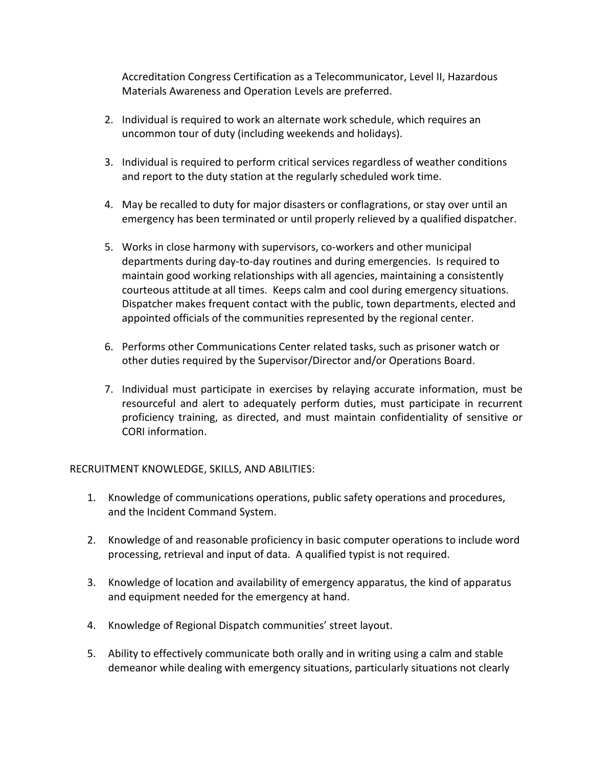Accreditation Congress Certification as a Telecommunicator, Level II, Hazardous Materials Awareness and Operation Levels are preferred.

- 2. Individual is required to work an alternate work schedule, which requires an uncommon tour of duty (including weekends and holidays).
- 3. Individual is required to perform critical services regardless of weather conditions and report to the duty station at the regularly scheduled work time.
- 4. May be recalled to duty for major disasters or conflagrations, or stay over until an emergency has been terminated or until properly relieved by a qualified dispatcher.
- 5. Works in close harmony with supervisors, co-workers and other municipal departments during day-to-day routines and during emergencies. Is required to maintain good working relationships with all agencies, maintaining a consistently courteous attitude at all times. Keeps calm and cool during emergency situations. Dispatcher makes frequent contact with the public, town departments, elected and appointed officials of the communities represented by the regional center.
- 6. Performs other Communications Center related tasks, such as prisoner watch or other duties required by the Supervisor/Director and/or Operations Board.
- 7. Individual must participate in exercises by relaying accurate information, must be resourceful and alert to adequately perform duties, must participate in recurrent proficiency training, as directed, and must maintain confidentiality of sensitive or CORI information.

# RECRUITMENT KNOWLEDGE, SKILLS, AND ABILITIES:

- 1. Knowledge of communications operations, public safety operations and procedures, and the Incident Command System.
- 2. Knowledge of and reasonable proficiency in basic computer operations to include word processing, retrieval and input of data. A qualified typist is not required.
- 3. Knowledge of location and availability of emergency apparatus, the kind of apparatus and equipment needed for the emergency at hand.
- 4. Knowledge of Regional Dispatch communities' street layout.
- 5. Ability to effectively communicate both orally and in writing using a calm and stable demeanor while dealing with emergency situations, particularly situations not clearly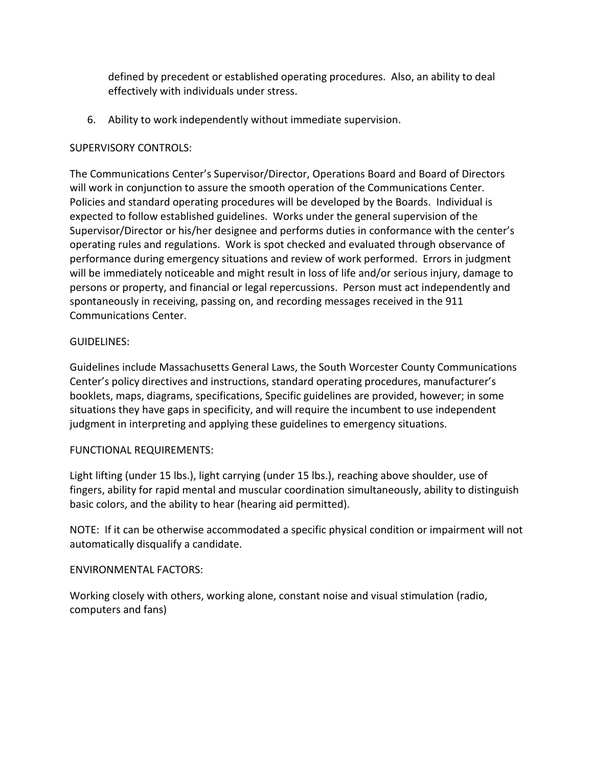defined by precedent or established operating procedures. Also, an ability to deal effectively with individuals under stress.

6. Ability to work independently without immediate supervision.

### SUPERVISORY CONTROLS:

The Communications Center's Supervisor/Director, Operations Board and Board of Directors will work in conjunction to assure the smooth operation of the Communications Center. Policies and standard operating procedures will be developed by the Boards. Individual is expected to follow established guidelines. Works under the general supervision of the Supervisor/Director or his/her designee and performs duties in conformance with the center's operating rules and regulations. Work is spot checked and evaluated through observance of performance during emergency situations and review of work performed. Errors in judgment will be immediately noticeable and might result in loss of life and/or serious injury, damage to persons or property, and financial or legal repercussions. Person must act independently and spontaneously in receiving, passing on, and recording messages received in the 911 Communications Center.

## GUIDELINES:

Guidelines include Massachusetts General Laws, the South Worcester County Communications Center's policy directives and instructions, standard operating procedures, manufacturer's booklets, maps, diagrams, specifications, Specific guidelines are provided, however; in some situations they have gaps in specificity, and will require the incumbent to use independent judgment in interpreting and applying these guidelines to emergency situations.

#### FUNCTIONAL REQUIREMENTS:

Light lifting (under 15 lbs.), light carrying (under 15 lbs.), reaching above shoulder, use of fingers, ability for rapid mental and muscular coordination simultaneously, ability to distinguish basic colors, and the ability to hear (hearing aid permitted).

NOTE: If it can be otherwise accommodated a specific physical condition or impairment will not automatically disqualify a candidate.

#### ENVIRONMENTAL FACTORS:

Working closely with others, working alone, constant noise and visual stimulation (radio, computers and fans)